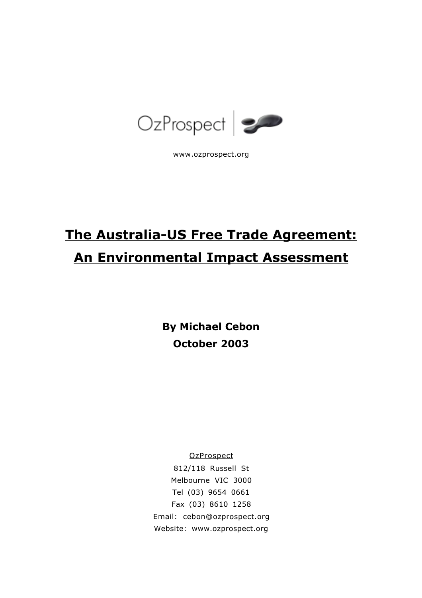

www.ozprospect.org

# **The Australia-US Free Trade Agreement: An Environmental Impact Assessment**

**By Michael Cebon October 2003**

**OzProspect** 

812/118 Russell St Melbourne VIC 3000 Tel (03) 9654 0661 Fax (03) 8610 1258 Email: cebon@ozprospect.org Website: www.ozprospect.org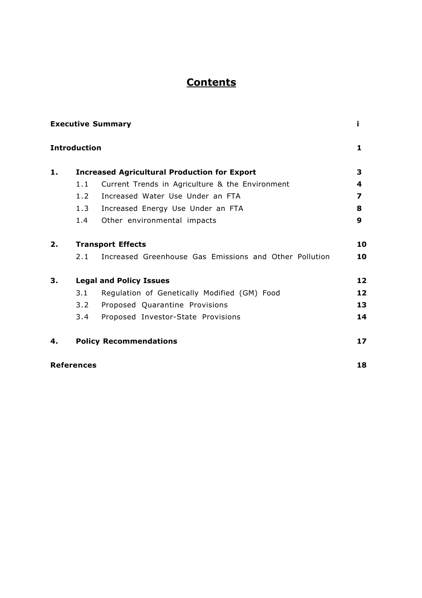# **Contents**

|    | <b>Executive Summary</b><br><b>Introduction</b>     |                                                        |    |  |  |  |
|----|-----------------------------------------------------|--------------------------------------------------------|----|--|--|--|
|    |                                                     |                                                        |    |  |  |  |
| 1. | <b>Increased Agricultural Production for Export</b> |                                                        |    |  |  |  |
|    | 1.1                                                 | Current Trends in Agriculture & the Environment        | 4  |  |  |  |
|    | 1.2                                                 | Increased Water Use Under an FTA                       | 7  |  |  |  |
|    | 1.3                                                 | Increased Energy Use Under an FTA                      | 8  |  |  |  |
|    | 1.4                                                 | Other environmental impacts                            | 9  |  |  |  |
| 2. | <b>Transport Effects</b>                            |                                                        |    |  |  |  |
|    | 2.1                                                 | Increased Greenhouse Gas Emissions and Other Pollution | 10 |  |  |  |
| З. | <b>Legal and Policy Issues</b>                      |                                                        |    |  |  |  |
|    | 3.1                                                 | Regulation of Genetically Modified (GM) Food           | 12 |  |  |  |
|    | $3.2^{\circ}$                                       | Proposed Quarantine Provisions                         | 13 |  |  |  |
|    | 3.4                                                 | Proposed Investor-State Provisions                     | 14 |  |  |  |
| 4. |                                                     | <b>Policy Recommendations</b>                          | 17 |  |  |  |
|    | <b>References</b>                                   |                                                        | 18 |  |  |  |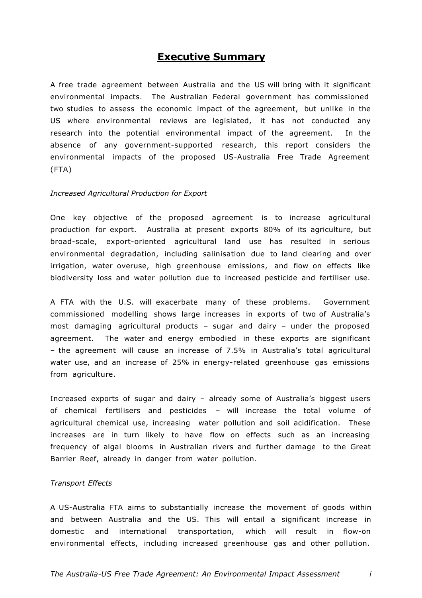# **Executive Summary**

A free trade agreement between Australia and the US will bring with it significant environmental impacts. The Australian Federal government has commissioned two studies to assess the economic impact of the agreement, but unlike in the US where environmental reviews are legislated, it has not conducted any research into the potential environmental impact of the agreement. In the absence of any government-supported research, this report considers the environmental impacts of the proposed US-Australia Free Trade Agreement (FTA)

#### *Increased Agricultural Production for Export*

One key objective of the proposed agreement is to increase agricultural production for export. Australia at present exports 80% of its agriculture, but broad-scale, export-oriented agricultural land use has resulted in serious environmental degradation, including salinisation due to land clearing and over irrigation, water overuse, high greenhouse emissions, and flow on effects like biodiversity loss and water pollution due to increased pesticide and fertiliser use.

A FTA with the U.S. will exacerbate many of these problems. Government commissioned modelling shows large increases in exports of two of Australia's most damaging agricultural products – sugar and dairy – under the proposed agreement. The water and energy embodied in these exports are significant – the agreement will cause an increase of 7.5% in Australia's total agricultural water use, and an increase of 25% in energy-related greenhouse gas emissions from agriculture.

Increased exports of sugar and dairy – already some of Australia's biggest users of chemical fertilisers and pesticides – will increase the total volume of agricultural chemical use, increasing water pollution and soil acidification. These increases are in turn likely to have flow on effects such as an increasing frequency of algal blooms in Australian rivers and further damage to the Great Barrier Reef, already in danger from water pollution.

#### *Transport Effects*

A US-Australia FTA aims to substantially increase the movement of goods within and between Australia and the US. This will entail a significant increase in domestic and international transportation, which will result in flow-on environmental effects, including increased greenhouse gas and other pollution.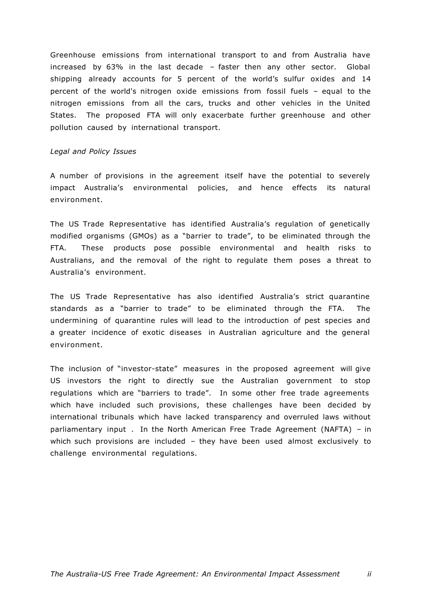Greenhouse emissions from international transport to and from Australia have increased by 63% in the last decade – faster then any other sector. Global shipping already accounts for 5 percent of the world's sulfur oxides and 14 percent of the world's nitrogen oxide emissions from fossil fuels – equal to the nitrogen emissions from all the cars, trucks and other vehicles in the United States. The proposed FTA will only exacerbate further greenhouse and other pollution caused by international transport.

#### *Legal and Policy Issues*

A number of provisions in the agreement itself have the potential to severely impact Australia's environmental policies, and hence effects its natural environment.

The US Trade Representative has identified Australia's regulation of genetically modified organisms (GMOs) as a "barrier to trade", to be eliminated through the FTA. These products pose possible environmental and health risks to Australians, and the removal of the right to regulate them poses a threat to Australia's environment.

The US Trade Representative has also identified Australia's strict quarantine standards as a "barrier to trade" to be eliminated through the FTA. The undermining of quarantine rules will lead to the introduction of pest species and a greater incidence of exotic diseases in Australian agriculture and the general environment.

The inclusion of "investor-state" measures in the proposed agreement will give US investors the right to directly sue the Australian government to stop regulations which are "barriers to trade". In some other free trade agreements which have included such provisions, these challenges have been decided by international tribunals which have lacked transparency and overruled laws without parliamentary input . In the North American Free Trade Agreement (NAFTA) – in which such provisions are included – they have been used almost exclusively to challenge environmental regulations.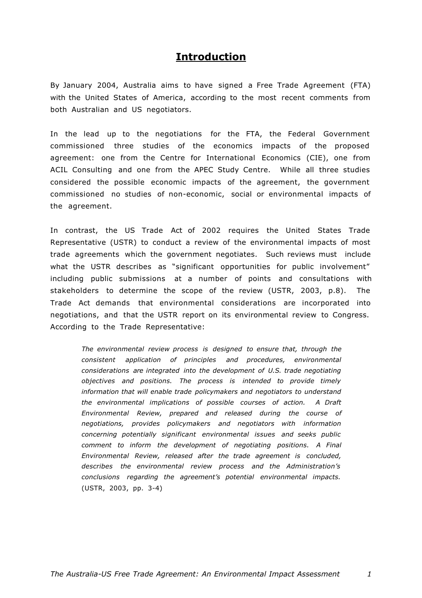# **Introduction**

By January 2004, Australia aims to have signed a Free Trade Agreement (FTA) with the United States of America, according to the most recent comments from both Australian and US negotiators.

In the lead up to the negotiations for the FTA, the Federal Government commissioned three studies of the economics impacts of the proposed agreement: one from the Centre for International Economics (CIE), one from ACIL Consulting and one from the APEC Study Centre. While all three studies considered the possible economic impacts of the agreement, the government commissioned no studies of non-economic, social or environmental impacts of the agreement.

In contrast, the US Trade Act of 2002 requires the United States Trade Representative (USTR) to conduct a review of the environmental impacts of most trade agreements which the government negotiates. Such reviews must include what the USTR describes as "significant opportunities for public involvement" including public submissions at a number of points and consultations with stakeholders to determine the scope of the review (USTR, 2003, p.8). The Trade Act demands that environmental considerations are incorporated into negotiations, and that the USTR report on its environmental review to Congress. According to the Trade Representative:

*The environmental review process is designed to ensure that, through the consistent application of principles and procedures, environmental considerations are integrated into the development of U.S. trade negotiating objectives and positions. The process is intended to provide timely information that will enable trade policymakers and negotiators to understand the environmental implications of possible courses of action. A Draft Environmental Review, prepared and released during the course of negotiations, provides policymakers and negotiators with information concerning potentially significant environmental issues and seeks public comment to inform the development of negotiating positions. A Final Environmental Review, released after the trade agreement is concluded, describes the environmental review process and the Administration's conclusions regarding the agreement's potential environmental impacts.*  (USTR, 2003, pp. 3-4)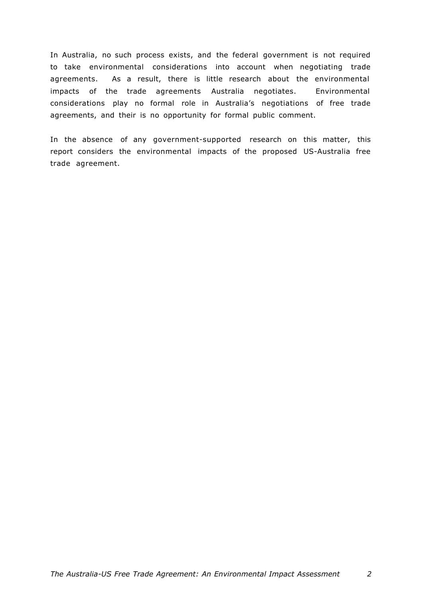In Australia, no such process exists, and the federal government is not required to take environmental considerations into account when negotiating trade agreements. As a result, there is little research about the environmental impacts of the trade agreements Australia negotiates. Environmental considerations play no formal role in Australia's negotiations of free trade agreements, and their is no opportunity for formal public comment.

In the absence of any government-supported research on this matter, this report considers the environmental impacts of the proposed US-Australia free trade agreement.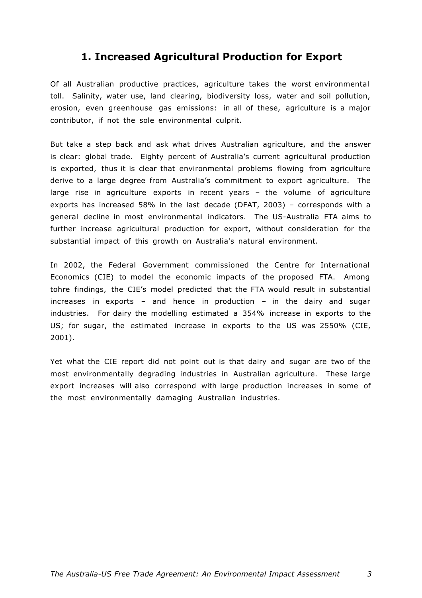# **1. Increased Agricultural Production for Export**

Of all Australian productive practices, agriculture takes the worst environmental toll. Salinity, water use, land clearing, biodiversity loss, water and soil pollution, erosion, even greenhouse gas emissions: in all of these, agriculture is a major contributor, if not the sole environmental culprit.

But take a step back and ask what drives Australian agriculture, and the answer is clear: global trade. Eighty percent of Australia's current agricultural production is exported, thus it is clear that environmental problems flowing from agriculture derive to a large degree from Australia's commitment to export agriculture. The large rise in agriculture exports in recent years – the volume of agriculture exports has increased 58% in the last decade (DFAT, 2003) – corresponds with a general decline in most environmental indicators. The US-Australia FTA aims to further increase agricultural production for export, without consideration for the substantial impact of this growth on Australia's natural environment.

In 2002, the Federal Government commissioned the Centre for International Economics (CIE) to model the economic impacts of the proposed FTA. Among tohre findings, the CIE's model predicted that the FTA would result in substantial increases in exports – and hence in production – in the dairy and sugar industries. For dairy the modelling estimated a 354% increase in exports to the US; for sugar, the estimated increase in exports to the US was 2550% (CIE, 2001).

Yet what the CIE report did not point out is that dairy and sugar are two of the most environmentally degrading industries in Australian agriculture. These large export increases will also correspond with large production increases in some of the most environmentally damaging Australian industries.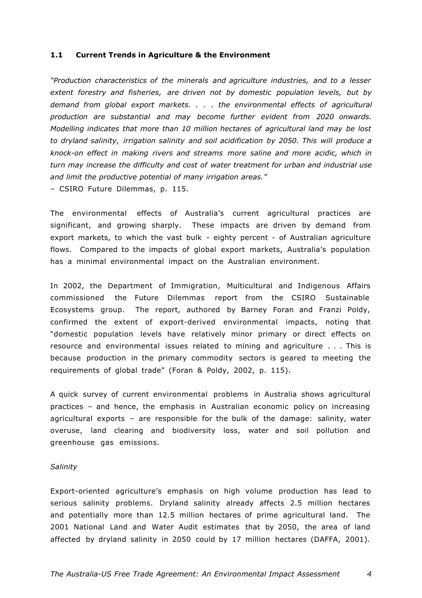#### **1.1 Current Trends in Agriculture & the Environment**

*"Production characteristics of the minerals and agriculture industries, and to a lesser extent forestry and fisheries, are driven not by domestic population levels, but by demand from global export markets. . . . the environmental effects of agricultural production are substantial and may become further evident from 2020 onwards. Modelling indicates that more than 10 million hectares of agricultural land may be lost to dryland salinity, irrigation salinity and soil acidification by 2050. This will produce a knock-on effect in making rivers and streams more saline and more acidic, which in turn may increase the difficulty and cost of water treatment for urban and industrial use and limit the productive potential of many irrigation areas."*

– CSIRO Future Dilemmas, p. 115.

The environmental effects of Australia's current agricultural practices are significant, and growing sharply. These impacts are driven by demand from export markets, to which the vast bulk - eighty percent - of Australian agriculture flows. Compared to the impacts of global export markets, Australia's population has a minimal environmental impact on the Australian environment.

In 2002, the Department of Immigration, Multicultural and Indigenous Affairs commissioned the Future Dilemmas report from the CSIRO Sustainable Ecosystems group. The report, authored by Barney Foran and Franzi Poldy, confirmed the extent of export-derived environmental impacts, noting that "domestic population levels have relatively minor primary or direct effects on resource and environmental issues related to mining and agriculture . . . This is because production in the primary commodity sectors is geared to meeting the requirements of global trade" (Foran & Poldy, 2002, p. 115).

A quick survey of current environmental problems in Australia shows agricultural practices – and hence, the emphasis in Australian economic policy on increasing agricultural exports – are responsible for the bulk of the damage: salinity, water overuse, land clearing and biodiversity loss, water and soil pollution and greenhouse gas emissions.

#### *Salinity*

Export-oriented agriculture's emphasis on high volume production has lead to serious salinity problems. Dryland salinity already affects 2.5 million hectares and potentially more than 12.5 million hectares of prime agricultural land. The 2001 National Land and Water Audit estimates that by 2050, the area of land affected by dryland salinity in 2050 could by 17 million hectares (DAFFA, 2001).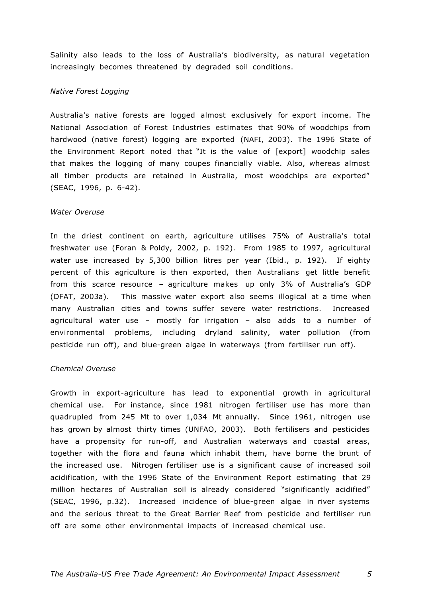Salinity also leads to the loss of Australia's biodiversity, as natural vegetation increasingly becomes threatened by degraded soil conditions.

## *Native Forest Logging*

Australia's native forests are logged almost exclusively for export income. The National Association of Forest Industries estimates that 90% of woodchips from hardwood (native forest) logging are exported (NAFI, 2003). The 1996 State of the Environment Report noted that "It is the value of [export] woodchip sales that makes the logging of many coupes financially viable. Also, whereas almost all timber products are retained in Australia, most woodchips are exported" (SEAC, 1996, p. 6-42).

#### *Water Overuse*

In the driest continent on earth, agriculture utilises 75% of Australia's total freshwater use (Foran & Poldy, 2002, p. 192). From 1985 to 1997, agricultural water use increased by 5,300 billion litres per year (Ibid., p. 192). If eighty percent of this agriculture is then exported, then Australians get little benefit from this scarce resource – agriculture makes up only 3% of Australia's GDP (DFAT, 2003a). This massive water export also seems illogical at a time when many Australian cities and towns suffer severe water restrictions. Increased agricultural water use – mostly for irrigation – also adds to a number of environmental problems, including dryland salinity, water pollution (from pesticide run off), and blue-green algae in waterways (from fertiliser run off).

#### *Chemical Overuse*

Growth in export-agriculture has lead to exponential growth in agricultural chemical use. For instance, since 1981 nitrogen fertiliser use has more than quadrupled from 245 Mt to over 1,034 Mt annually. Since 1961, nitrogen use has grown by almost thirty times (UNFAO, 2003). Both fertilisers and pesticides have a propensity for run-off, and Australian waterways and coastal areas, together with the flora and fauna which inhabit them, have borne the brunt of the increased use. Nitrogen fertiliser use is a significant cause of increased soil acidification, with the 1996 State of the Environment Report estimating that 29 million hectares of Australian soil is already considered "significantly acidified" (SEAC, 1996, p.32). Increased incidence of blue-green algae in river systems and the serious threat to the Great Barrier Reef from pesticide and fertiliser run off are some other environmental impacts of increased chemical use.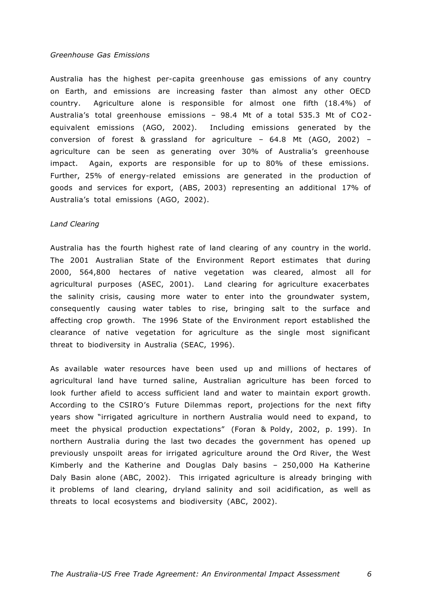#### *Greenhouse Gas Emissions*

Australia has the highest per-capita greenhouse gas emissions of any country on Earth, and emissions are increasing faster than almost any other OECD country. Agriculture alone is responsible for almost one fifth (18.4%) of Australia's total greenhouse emissions – 98.4 Mt of a total 535.3 Mt of CO2 equivalent emissions (AGO, 2002). Including emissions generated by the conversion of forest & grassland for agriculture – 64.8 Mt (AGO, 2002) – agriculture can be seen as generating over 30% of Australia's greenhouse impact. Again, exports are responsible for up to 80% of these emissions. Further, 25% of energy-related emissions are generated in the production of goods and services for export, (ABS, 2003) representing an additional 17% of Australia's total emissions (AGO, 2002).

#### *Land Clearing*

Australia has the fourth highest rate of land clearing of any country in the world. The 2001 Australian State of the Environment Report estimates that during 2000, 564,800 hectares of native vegetation was cleared, almost all for agricultural purposes (ASEC, 2001). Land clearing for agriculture exacerbates the salinity crisis, causing more water to enter into the groundwater system, consequently causing water tables to rise, bringing salt to the surface and affecting crop growth. The 1996 State of the Environment report established the clearance of native vegetation for agriculture as the single most significant threat to biodiversity in Australia (SEAC, 1996).

As available water resources have been used up and millions of hectares of agricultural land have turned saline, Australian agriculture has been forced to look further afield to access sufficient land and water to maintain export growth. According to the CSIRO's Future Dilemmas report, projections for the next fifty years show "irrigated agriculture in northern Australia would need to expand, to meet the physical production expectations" (Foran & Poldy, 2002, p. 199). In northern Australia during the last two decades the government has opened up previously unspoilt areas for irrigated agriculture around the Ord River, the West Kimberly and the Katherine and Douglas Daly basins – 250,000 Ha Katherine Daly Basin alone (ABC, 2002). This irrigated agriculture is already bringing with it problems of land clearing, dryland salinity and soil acidification, as well as threats to local ecosystems and biodiversity (ABC, 2002).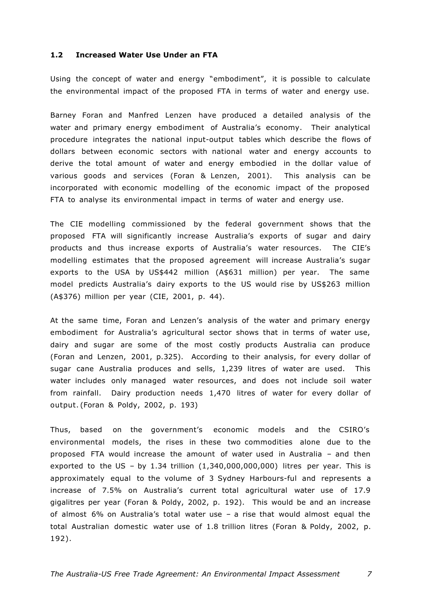## **1.2 Increased Water Use Under an FTA**

Using the concept of water and energy "embodiment", it is possible to calculate the environmental impact of the proposed FTA in terms of water and energy use.

Barney Foran and Manfred Lenzen have produced a detailed analysis of the water and primary energy embodiment of Australia's economy. Their analytical procedure integrates the national input-output tables which describe the flows of dollars between economic sectors with national water and energy accounts to derive the total amount of water and energy embodied in the dollar value of various goods and services (Foran & Lenzen, 2001). This analysis can be incorporated with economic modelling of the economic impact of the proposed FTA to analyse its environmental impact in terms of water and energy use.

The CIE modelling commissioned by the federal government shows that the proposed FTA will significantly increase Australia's exports of sugar and dairy products and thus increase exports of Australia's water resources. The CIE's modelling estimates that the proposed agreement will increase Australia's sugar exports to the USA by US\$442 million (A\$631 million) per year. The same model predicts Australia's dairy exports to the US would rise by US\$263 million (A\$376) million per year (CIE, 2001, p. 44).

At the same time, Foran and Lenzen's analysis of the water and primary energy embodiment for Australia's agricultural sector shows that in terms of water use, dairy and sugar are some of the most costly products Australia can produce (Foran and Lenzen, 2001, p.325). According to their analysis, for every dollar of sugar cane Australia produces and sells, 1,239 litres of water are used. This water includes only managed water resources, and does not include soil water from rainfall. Dairy production needs 1,470 litres of water for every dollar of output. (Foran & Poldy, 2002, p. 193)

Thus, based on the government's economic models and the CSIRO's environmental models, the rises in these two commodities alone due to the proposed FTA would increase the amount of water used in Australia – and then exported to the US - by 1.34 trillion  $(1,340,000,000,000)$  litres per year. This is approximately equal to the volume of 3 Sydney Harbours-ful and represents a increase of 7.5% on Australia's current total agricultural water use of 17.9 gigalitres per year (Foran & Poldy, 2002, p. 192). This would be and an increase of almost 6% on Australia's total water use – a rise that would almost equal the total Australian domestic water use of 1.8 trillion litres (Foran & Poldy, 2002, p. 192).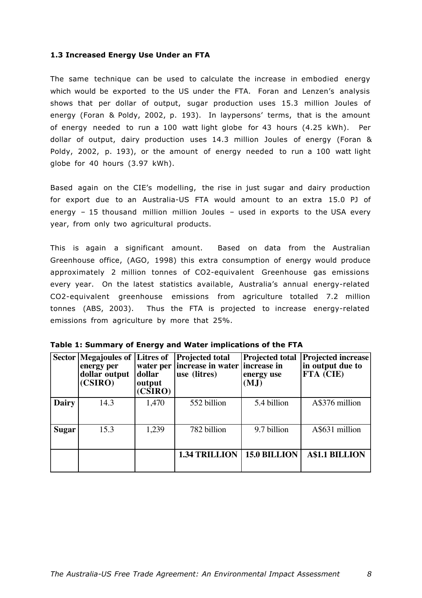# **1.3 Increased Energy Use Under an FTA**

The same technique can be used to calculate the increase in embodied energy which would be exported to the US under the FTA. Foran and Lenzen's analysis shows that per dollar of output, sugar production uses 15.3 million Joules of energy (Foran & Poldy, 2002, p. 193). In laypersons' terms, that is the amount of energy needed to run a 100 watt light globe for 43 hours (4.25 kWh). Per dollar of output, dairy production uses 14.3 million Joules of energy (Foran & Poldy, 2002, p. 193), or the amount of energy needed to run a 100 watt light globe for 40 hours (3.97 kWh).

Based again on the CIE's modelling, the rise in just sugar and dairy production for export due to an Australia-US FTA would amount to an extra 15.0 PJ of energy – 15 thousand million million Joules – used in exports to the USA every year, from only two agricultural products.

This is again a significant amount. Based on data from the Australian Greenhouse office, (AGO, 1998) this extra consumption of energy would produce approximately 2 million tonnes of CO2-equivalent Greenhouse gas emissions every year. On the latest statistics available, Australia's annual energy-related CO2-equivalent greenhouse emissions from agriculture totalled 7.2 million tonnes (ABS, 2003). Thus the FTA is projected to increase energy-related emissions from agriculture by more that 25%.

|              | Sector Megajoules of Litres of<br>energy per<br>dollar output<br>(CSIRO) | water per<br> dollar<br>output<br>(CSIRO) | <b>Projected total</b><br>increase in water<br>use (litres) | <b>Projected total</b><br>increase in<br>energy use<br>(MJ) | <b>Projected increase</b><br>in output due to<br>FTA (CIE) |
|--------------|--------------------------------------------------------------------------|-------------------------------------------|-------------------------------------------------------------|-------------------------------------------------------------|------------------------------------------------------------|
| <b>Dairy</b> | 14.3                                                                     | 1,470                                     | 552 billion                                                 | 5.4 billion                                                 | A\$376 million                                             |
| <b>Sugar</b> | 15.3                                                                     | 1,239                                     | 782 billion                                                 | 9.7 billion                                                 | A\$631 million                                             |
|              |                                                                          |                                           | <b>1.34 TRILLION</b>                                        | <b>15.0 BILLION</b>                                         | <b>A\$1.1 BILLION</b>                                      |

| Table 1: Summary of Energy and Water implications of the FTA |  |  |  |  |  |
|--------------------------------------------------------------|--|--|--|--|--|
|--------------------------------------------------------------|--|--|--|--|--|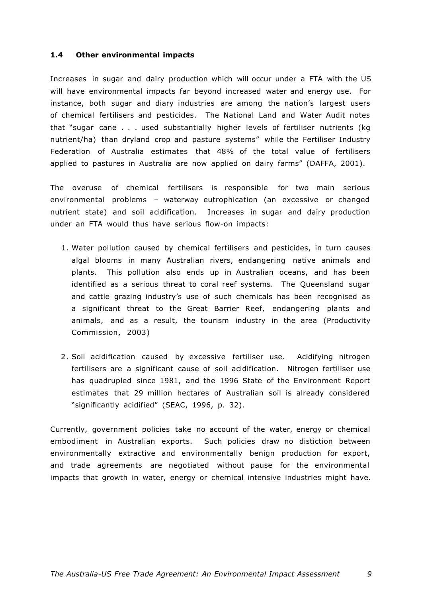## **1.4 Other environmental impacts**

Increases in sugar and dairy production which will occur under a FTA with the US will have environmental impacts far beyond increased water and energy use. For instance, both sugar and diary industries are among the nation's largest users of chemical fertilisers and pesticides. The National Land and Water Audit notes that "sugar cane . . . used substantially higher levels of fertiliser nutrients (kg nutrient/ha) than dryland crop and pasture systems" while the Fertiliser Industry Federation of Australia estimates that 48% of the total value of fertilisers applied to pastures in Australia are now applied on dairy farms" (DAFFA, 2001).

The overuse of chemical fertilisers is responsible for two main serious environmental problems – waterway eutrophication (an excessive or changed nutrient state) and soil acidification. Increases in sugar and dairy production under an FTA would thus have serious flow-on impacts:

- 1 . Water pollution caused by chemical fertilisers and pesticides, in turn causes algal blooms in many Australian rivers, endangering native animals and plants. This pollution also ends up in Australian oceans, and has been identified as a serious threat to coral reef systems. The Queensland sugar and cattle grazing industry's use of such chemicals has been recognised as a significant threat to the Great Barrier Reef, endangering plants and animals, and as a result, the tourism industry in the area (Productivity Commission, 2003)
- 2 . Soil acidification caused by excessive fertiliser use. Acidifying nitrogen fertilisers are a significant cause of soil acidification. Nitrogen fertiliser use has quadrupled since 1981, and the 1996 State of the Environment Report estimates that 29 million hectares of Australian soil is already considered "significantly acidified" (SEAC, 1996, p. 32).

Currently, government policies take no account of the water, energy or chemical embodiment in Australian exports. Such policies draw no distiction between environmentally extractive and environmentally benign production for export, and trade agreements are negotiated without pause for the environmental impacts that growth in water, energy or chemical intensive industries might have.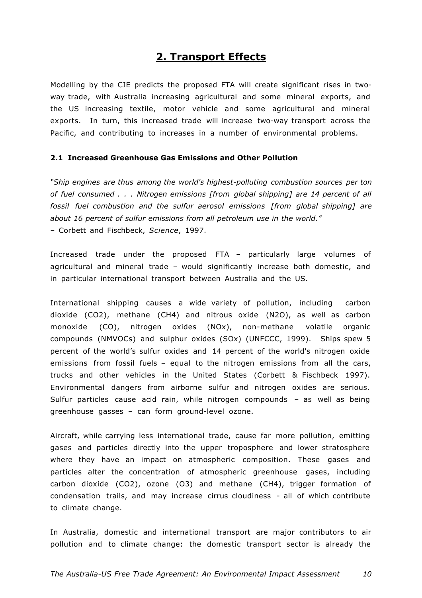# **2. Transport Effects**

Modelling by the CIE predicts the proposed FTA will create significant rises in twoway trade, with Australia increasing agricultural and some mineral exports, and the US increasing textile, motor vehicle and some agricultural and mineral exports. In turn, this increased trade will increase two-way transport across the Pacific, and contributing to increases in a number of environmental problems.

# **2.1 Increased Greenhouse Gas Emissions and Other Pollution**

*"Ship engines are thus among the world's highest-polluting combustion sources per ton of fuel consumed . . . Nitrogen emissions [from global shipping] are 14 percent of all fossil fuel combustion and the sulfur aerosol emissions [from global shipping] are about 16 percent of sulfur emissions from all petroleum use in the world."* – Corbett and Fischbeck, *Science*, 1997.

Increased trade under the proposed FTA – particularly large volumes of agricultural and mineral trade – would significantly increase both domestic, and in particular international transport between Australia and the US.

International shipping causes a wide variety of pollution, including carbon dioxide (CO2), methane (CH4) and nitrous oxide (N2O), as well as carbon monoxide (CO), nitrogen oxides (NOx), non-methane volatile organic compounds (NMVOCs) and sulphur oxides (SOx) (UNFCCC, 1999). Ships spew 5 percent of the world's sulfur oxides and 14 percent of the world's nitrogen oxide emissions from fossil fuels – equal to the nitrogen emissions from all the cars, trucks and other vehicles in the United States (Corbett & Fischbeck 1997). Environmental dangers from airborne sulfur and nitrogen oxides are serious. Sulfur particles cause acid rain, while nitrogen compounds – as well as being greenhouse gasses – can form ground-level ozone.

Aircraft, while carrying less international trade, cause far more pollution, emitting gases and particles directly into the upper troposphere and lower stratosphere where they have an impact on atmospheric composition. These gases and particles alter the concentration of atmospheric greenhouse gases, including carbon dioxide (CO2), ozone (O3) and methane (CH4), trigger formation of condensation trails, and may increase cirrus cloudiness - all of which contribute to climate change.

In Australia, domestic and international transport are major contributors to air pollution and to climate change: the domestic transport sector is already the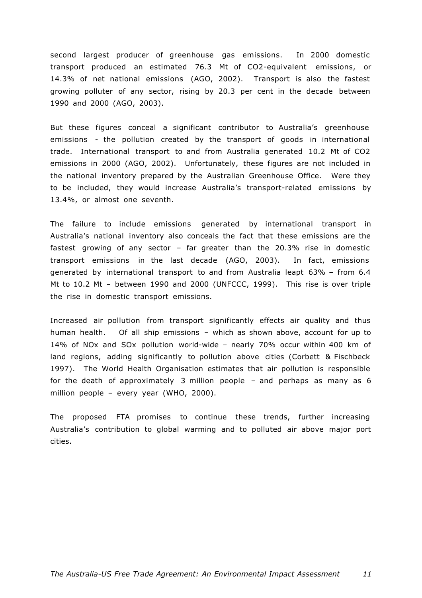second largest producer of greenhouse gas emissions. In 2000 domestic transport produced an estimated 76.3 Mt of CO2-equivalent emissions, or 14.3% of net national emissions (AGO, 2002). Transport is also the fastest growing polluter of any sector, rising by 20.3 per cent in the decade between 1990 and 2000 (AGO, 2003).

But these figures conceal a significant contributor to Australia's greenhouse emissions - the pollution created by the transport of goods in international trade. International transport to and from Australia generated 10.2 Mt of CO2 emissions in 2000 (AGO, 2002). Unfortunately, these figures are not included in the national inventory prepared by the Australian Greenhouse Office. Were they to be included, they would increase Australia's transport-related emissions by 13.4%, or almost one seventh.

The failure to include emissions generated by international transport in Australia's national inventory also conceals the fact that these emissions are the fastest growing of any sector – far greater than the 20.3% rise in domestic transport emissions in the last decade (AGO, 2003). In fact, emissions generated by international transport to and from Australia leapt 63% – from 6.4 Mt to 10.2 Mt – between 1990 and 2000 (UNFCCC, 1999). This rise is over triple the rise in domestic transport emissions.

Increased air pollution from transport significantly effects air quality and thus human health. Of all ship emissions – which as shown above, account for up to 14% of NOx and SOx pollution world-wide – nearly 70% occur within 400 km of land regions, adding significantly to pollution above cities (Corbett & Fischbeck 1997). The World Health Organisation estimates that air pollution is responsible for the death of approximately 3 million people – and perhaps as many as 6 million people – every year (WHO, 2000).

The proposed FTA promises to continue these trends, further increasing Australia's contribution to global warming and to polluted air above major port cities.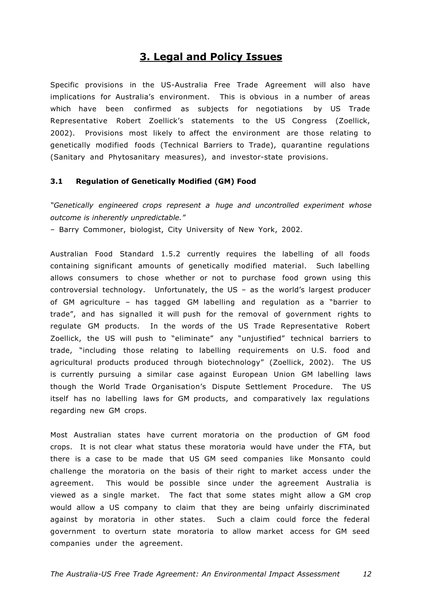# **3. Legal and Policy Issues**

Specific provisions in the US-Australia Free Trade Agreement will also have implications for Australia's environment. This is obvious in a number of areas which have been confirmed as subjects for negotiations by US Trade Representative Robert Zoellick's statements to the US Congress (Zoellick, 2002). Provisions most likely to affect the environment are those relating to genetically modified foods (Technical Barriers to Trade), quarantine regulations (Sanitary and Phytosanitary measures), and investor-state provisions.

## **3.1 Regulation of Genetically Modified (GM) Food**

*"Genetically engineered crops represent a huge and uncontrolled experiment whose outcome is inherently unpredictable."*

– Barry Commoner, biologist, City University of New York, 2002.

Australian Food Standard 1.5.2 currently requires the labelling of all foods containing significant amounts of genetically modified material. Such labelling allows consumers to chose whether or not to purchase food grown using this controversial technology. Unfortunately, the US – as the world's largest producer of GM agriculture – has tagged GM labelling and regulation as a "barrier to trade", and has signalled it will push for the removal of government rights to regulate GM products. In the words of the US Trade Representative Robert Zoellick, the US will push to "eliminate" any "unjustified" technical barriers to trade, "including those relating to labelling requirements on U.S. food and agricultural products produced through biotechnology" (Zoellick, 2002). The US is currently pursuing a similar case against European Union GM labelling laws though the World Trade Organisation's Dispute Settlement Procedure. The US itself has no labelling laws for GM products, and comparatively lax regulations regarding new GM crops.

Most Australian states have current moratoria on the production of GM food crops. It is not clear what status these moratoria would have under the FTA, but there is a case to be made that US GM seed companies like Monsanto could challenge the moratoria on the basis of their right to market access under the agreement. This would be possible since under the agreement Australia is viewed as a single market. The fact that some states might allow a GM crop would allow a US company to claim that they are being unfairly discriminated against by moratoria in other states. Such a claim could force the federal government to overturn state moratoria to allow market access for GM seed companies under the agreement.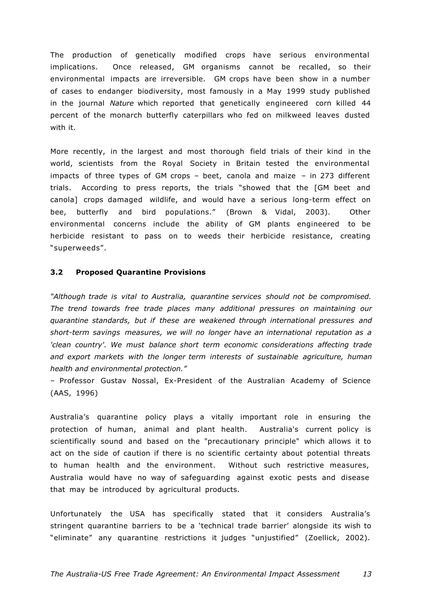The production of genetically modified crops have serious environmental implications. Once released, GM organisms cannot be recalled, so their environmental impacts are irreversible. GM crops have been show in a number of cases to endanger biodiversity, most famously in a May 1999 study published in the journal *Nature* which reported that genetically engineered corn killed 44 percent of the monarch butterfly caterpillars who fed on milkweed leaves dusted with it.

More recently, in the largest and most thorough field trials of their kind in the world, scientists from the Royal Society in Britain tested the environmental impacts of three types of GM crops – beet, canola and maize – in 273 different trials. According to press reports, the trials "showed that the [GM beet and canola] crops damaged wildlife, and would have a serious long-term effect on bee, butterfly and bird populations." (Brown & Vidal, 2003). Other environmental concerns include the ability of GM plants engineered to be herbicide resistant to pass on to weeds their herbicide resistance, creating "superweeds".

## **3.2 Proposed Quarantine Provisions**

*"Although trade is vital to Australia, quarantine services should not be compromised. The trend towards free trade places many additional pressures on maintaining our quarantine standards, but if these are weakened through international pressures and short-term savings measures, we will no longer have an international reputation as a*  'clean country'. We must balance short term economic considerations affecting trade *and export markets with the longer term interests of sustainable agriculture, human health and environmental protection."*

– Professor Gustav Nossal, Ex-President of the Australian Academy of Science (AAS, 1996)

Australia's quarantine policy plays a vitally important role in ensuring the protection of human, animal and plant health. Australia's current policy is scientifically sound and based on the "precautionary principle" which allows it to act on the side of caution if there is no scientific certainty about potential threats to human health and the environment. Without such restrictive measures, Australia would have no way of safeguarding against exotic pests and disease that may be introduced by agricultural products.

Unfortunately the USA has specifically stated that it considers Australia's stringent quarantine barriers to be a 'technical trade barrier' alongside its wish to "eliminate" any quarantine restrictions it judges "unjustified" (Zoellick, 2002).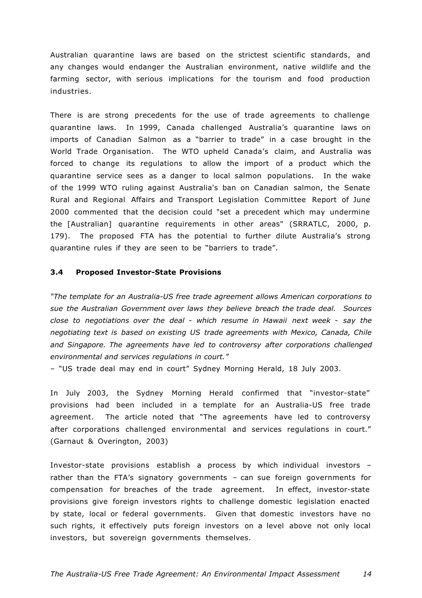Australian quarantine laws are based on the strictest scientific standards, and any changes would endanger the Australian environment, native wildlife and the farming sector, with serious implications for the tourism and food production industries.

There is are strong precedents for the use of trade agreements to challenge quarantine laws. In 1999, Canada challenged Australia's quarantine laws on imports of Canadian Salmon as a "barrier to trade" in a case brought in the World Trade Organisation. The WTO upheld Canada's claim, and Australia was forced to change its regulations to allow the import of a product which the quarantine service sees as a danger to local salmon populations. In the wake of the 1999 WTO ruling against Australia's ban on Canadian salmon, the Senate Rural and Regional Affairs and Transport Legislation Committee Report of June 2000 commented that the decision could "set a precedent which may undermine the [Australian] quarantine requirements in other areas" (SRRATLC, 2000, p. 179). The proposed FTA has the potential to further dilute Australia's strong quarantine rules if they are seen to be "barriers to trade".

## **3.4 Proposed Investor-State Provisions**

*"The template for an Australia-US free trade agreement allows American corporations to sue the Australian Government over laws they believe breach the trade deal. Sources close to negotiations over the deal - which resume in Hawaii next week - say the negotiating text is based on existing US trade agreements with Mexico, Canada, Chile and Singapore. The agreements have led to controversy after corporations challenged environmental and services regulations in court."*

– "US trade deal may end in court" Sydney Morning Herald, 18 July 2003.

In July 2003, the Sydney Morning Herald confirmed that "investor-state" provisions had been included in a template for an Australia-US free trade agreement. The article noted that "The agreements have led to controversy after corporations challenged environmental and services regulations in court." (Garnaut & Overington, 2003)

Investor-state provisions establish a process by which individual investors – rather than the FTA's signatory governments – can sue foreign governments for compensation for breaches of the trade agreement. In effect, investor-state provisions give foreign investors rights to challenge domestic legislation enacted by state, local or federal governments. Given that domestic investors have no such rights, it effectively puts foreign investors on a level above not only local investors, but sovereign governments themselves.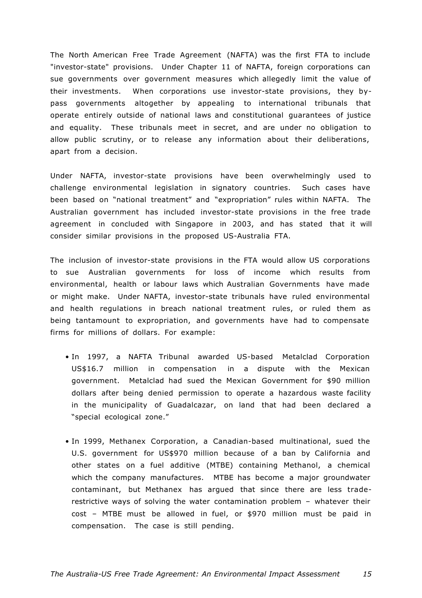The North American Free Trade Agreement (NAFTA) was the first FTA to include "investor-state" provisions. Under Chapter 11 of NAFTA, foreign corporations can sue governments over government measures which allegedly limit the value of their investments. When corporations use investor-state provisions, they bypass governments altogether by appealing to international tribunals that operate entirely outside of national laws and constitutional guarantees of justice and equality. These tribunals meet in secret, and are under no obligation to allow public scrutiny, or to release any information about their deliberations, apart from a decision.

Under NAFTA, investor-state provisions have been overwhelmingly used to challenge environmental legislation in signatory countries. Such cases have been based on "national treatment" and "expropriation" rules within NAFTA. The Australian government has included investor-state provisions in the free trade agreement in concluded with Singapore in 2003, and has stated that it will consider similar provisions in the proposed US-Australia FTA.

The inclusion of investor-state provisions in the FTA would allow US corporations to sue Australian governments for loss of income which results from environmental, health or labour laws which Australian Governments have made or might make. Under NAFTA, investor-state tribunals have ruled environmental and health regulations in breach national treatment rules, or ruled them as being tantamount to expropriation, and governments have had to compensate firms for millions of dollars. For example:

- In 1997, a NAFTA Tribunal awarded US-based Metalclad Corporation US\$16.7 million in compensation in a dispute with the Mexican government. Metalclad had sued the Mexican Government for \$90 million dollars after being denied permission to operate a hazardous waste facility in the municipality of Guadalcazar, on land that had been declared a "special ecological zone."
- In 1999, Methanex Corporation, a Canadian-based multinational, sued the U.S. government for US\$970 million because of a ban by California and other states on a fuel additive (MTBE) containing Methanol, a chemical which the company manufactures. MTBE has become a major groundwater contaminant, but Methanex has argued that since there are less traderestrictive ways of solving the water contamination problem – whatever their cost – MTBE must be allowed in fuel, or \$970 million must be paid in compensation. The case is still pending.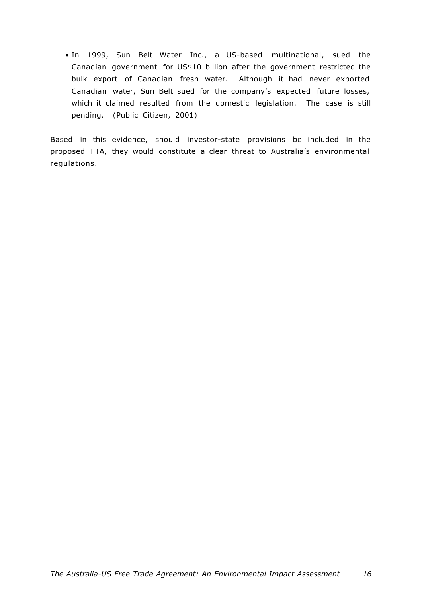• In 1999, Sun Belt Water Inc., a US-based multinational, sued the Canadian government for US\$10 billion after the government restricted the bulk export of Canadian fresh water. Although it had never exported Canadian water, Sun Belt sued for the company's expected future losses, which it claimed resulted from the domestic legislation. The case is still pending. (Public Citizen, 2001)

Based in this evidence, should investor-state provisions be included in the proposed FTA, they would constitute a clear threat to Australia's environmental regulations.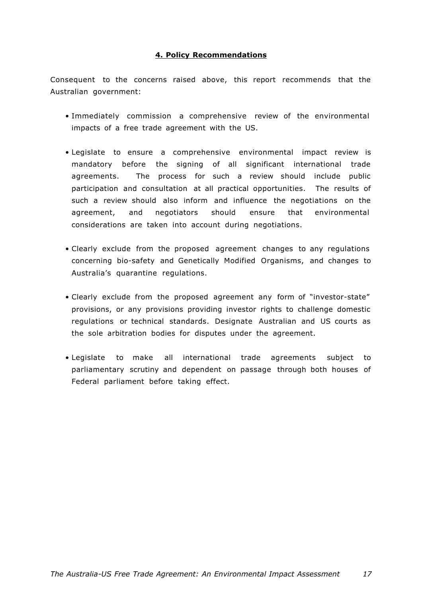# **4. Policy Recommendations**

Consequent to the concerns raised above, this report recommends that the Australian government:

- Immediately commission a comprehensive review of the environmental impacts of a free trade agreement with the US.
- Legislate to ensure a comprehensive environmental impact review is mandatory before the signing of all significant international trade agreements. The process for such a review should include public participation and consultation at all practical opportunities. The results of such a review should also inform and influence the negotiations on the agreement, and negotiators should ensure that environmental considerations are taken into account during negotiations.
- Clearly exclude from the proposed agreement changes to any regulations concerning bio-safety and Genetically Modified Organisms, and changes to Australia's quarantine regulations.
- Clearly exclude from the proposed agreement any form of "investor-state" provisions, or any provisions providing investor rights to challenge domestic regulations or technical standards. Designate Australian and US courts as the sole arbitration bodies for disputes under the agreement.
- Legislate to make all international trade agreements subject to parliamentary scrutiny and dependent on passage through both houses of Federal parliament before taking effect.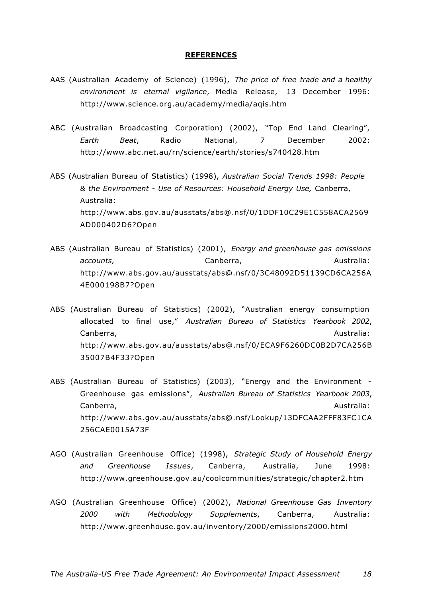#### **REFERENCES**

- AAS (Australian Academy of Science) (1996), *The price of free trade and a healthy environment is eternal vigilance*, Media Release, 13 December 1996: http://www.science.org.au/academy/media/aqis.htm
- ABC (Australian Broadcasting Corporation) (2002), "Top End Land Clearing", *Earth Beat*, Radio National, 7 December 2002: http://www.abc.net.au/rn/science/earth/stories/s740428.htm
- ABS (Australian Bureau of Statistics) (1998), *Australian Social Trends 1998: People & the Environment - Use of Resources: Household Energy Use,* Canberra, Australia: http://www.abs.gov.au/ausstats/abs@.nsf/0/1DDF10C29E1C558ACA2569 AD000402D6?Open
- ABS (Australian Bureau of Statistics) (2001), *Energy and greenhouse gas emissions accounts.* Canberra, Canberra, Australia: http://www.abs.gov.au/ausstats/abs@.nsf/0/3C48092D51139CD6CA256A 4E000198B7?Open
- ABS (Australian Bureau of Statistics) (2002), "Australian energy consumption allocated to final use," *Australian Bureau of Statistics Yearbook 2002*, Canberra, Australia: Australia: Australia: Australia: Australia: Australia: Australia: Australia: Australia: Australia: Australia: Australia: Australia: Australia: Australia: Australia: Australia: Australia: Australia: Aus http://www.abs.gov.au/ausstats/abs@.nsf/0/ECA9F6260DC0B2D7CA256B 35007B4F33?Open
- ABS (Australian Bureau of Statistics) (2003), "Energy and the Environment Greenhouse gas emissions", *Australian Bureau of Statistics Yearbook 2003*, Canberra, Australia: Australia: Australia: Australia: Australia: Australia: Australia: Australia: Australia: Australia: Australia: Australia: Australia: Australia: Australia: Australia: Australia: Australia: Australia: Aus http://www.abs.gov.au/ausstats/abs@.nsf/Lookup/13DFCAA2FFF83FC1CA 256CAE0015A73F
- AGO (Australian Greenhouse Office) (1998), *Strategic Study of Household Energy and Greenhouse Issues*, Canberra, Australia, June 1998: http://www.greenhouse.gov.au/coolcommunities/strategic/chapter2.htm
- AGO (Australian Greenhouse Office) (2002), *National Greenhouse Gas Inventory 2000 with Methodology Supplements*, Canberra, Australia: http://www.greenhouse.gov.au/inventory/2000/emissions2000.html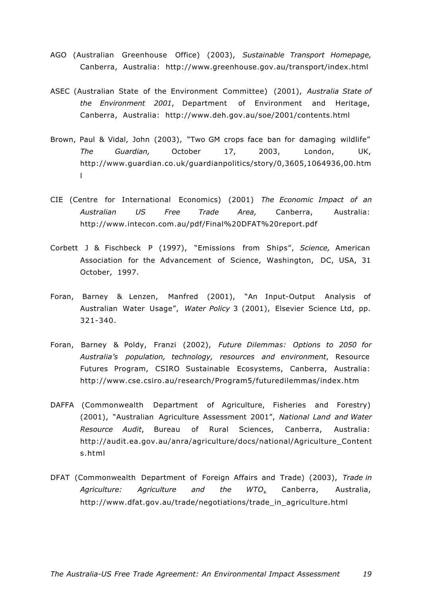- AGO (Australian Greenhouse Office) (2003), *Sustainable Transport Homepage,*  Canberra, Australia: http://www.greenhouse.gov.au/transport/index.html
- ASEC (Australian State of the Environment Committee) (2001), *Australia State of the Environment 2001*, Department of Environment and Heritage, Canberra, Australia: http://www.deh.gov.au/soe/2001/contents.html
- Brown, Paul & Vidal, John (2003), "Two GM crops face ban for damaging wildlife" *The Guardian,* October 17, 2003, London, UK, http://www.guardian.co.uk/guardianpolitics/story/0,3605,1064936,00.htm l
- CIE (Centre for International Economics) (2001) *The Economic Impact of an Australian US Free Trade Area,* Canberra, Australia: http://www.intecon.com.au/pdf/Final%20DFAT%20report.pdf
- Corbett J & Fischbeck P (1997), "Emissions from Ships", *Science,* American Association for the Advancement of Science, Washington, DC, USA, 31 October, 1997.
- Foran, Barney & Lenzen, Manfred (2001), "An Input-Output Analysis of Australian Water Usage", *Water Policy* 3 (2001), Elsevier Science Ltd, pp. 321-340.
- Foran, Barney & Poldy, Franzi (2002), *Future Dilemmas: Options to 2050 for Australia's population, technology, resources and environment*, Resource Futures Program, CSIRO Sustainable Ecosystems, Canberra, Australia: http://www.cse.csiro.au/research/Program5/futuredilemmas/index.htm
- DAFFA (Commonwealth Department of Agriculture, Fisheries and Forestry) (2001), "Australian Agriculture Assessment 2001", *National Land and Water Resource Audit*, Bureau of Rural Sciences, Canberra, Australia: http://audit.ea.gov.au/anra/agriculture/docs/national/Agriculture\_Content s.html
- DFAT (Commonwealth Department of Foreign Affairs and Trade) (2003), *Trade in Agriculture: Agriculture and the WTO*, Canberra, Australia, http://www.dfat.gov.au/trade/negotiations/trade\_in\_agriculture.html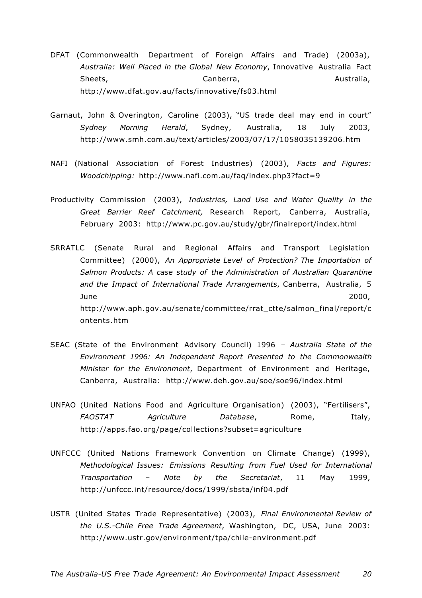- DFAT (Commonwealth Department of Foreign Affairs and Trade) (2003a), *Australia: Well Placed in the Global New Economy*, Innovative Australia Fact Sheets, Canberra, Canberra, Australia, Australia, http://www.dfat.gov.au/facts/innovative/fs03.html
- Garnaut, John & Overington, Caroline (2003), "US trade deal may end in court" *Sydney Morning Herald*, Sydney, Australia, 18 July 2003, http://www.smh.com.au/text/articles/2003/07/17/1058035139206.htm
- NAFI (National Association of Forest Industries) (2003), *Facts and Figures: Woodchipping:* http://www.nafi.com.au/faq/index.php3?fact=9
- Productivity Commission (2003), *Industries, Land Use and Water Quality in the Great Barrier Reef Catchment,* Research Report, Canberra, Australia, February 2003: http://www.pc.gov.au/study/gbr/finalreport/index.html
- SRRATLC (Senate Rural and Regional Affairs and Transport Legislation Committee) (2000), *An Appropriate Level of Protection? The Importation of Salmon Products: A case study of the Administration of Australian Quarantine and the Impact of International Trade Arrangements*, Canberra, Australia, 5 June 2000, http://www.aph.gov.au/senate/committee/rrat\_ctte/salmon\_final/report/c ontents.htm
- SEAC (State of the Environment Advisory Council) 1996 *Australia State of the Environment 1996: An Independent Report Presented to the Commonwealth Minister for the Environment*, Department of Environment and Heritage, Canberra, Australia: http://www.deh.gov.au/soe/soe96/index.html
- UNFAO (United Nations Food and Agriculture Organisation) (2003), "Fertilisers", *FAOSTAT Agriculture Database*, Rome, Italy, http://apps.fao.org/page/collections?subset=agriculture
- UNFCCC (United Nations Framework Convention on Climate Change) (1999), *Methodological Issues: Emissions Resulting from Fuel Used for International Transportation – Note by the Secretariat*, 11 May 1999, http://unfccc.int/resource/docs/1999/sbsta/inf04.pdf
- USTR (United States Trade Representative) (2003), *Final Environmental Review of the U.S.-Chile Free Trade Agreement*, Washington, DC, USA, June 2003: http://www.ustr.gov/environment/tpa/chile-environment.pdf